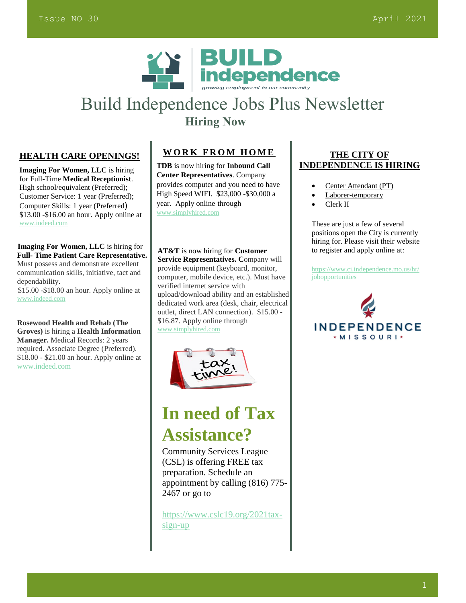

## Build Independence Jobs Plus Newsletter  **Hiring Now**

#### **HEALTH CARE OPENINGS!**

**Imaging For Women, LLC** is hiring for Full-Time **Medical Receptionist**. High school/equivalent (Preferred); Customer Service: 1 year (Preferred); Computer Skills: 1 year (Preferred) \$13.00 -\$16.00 an hour. Apply online at [www.indeed.com](http://www.indeed.com/)

 **Imaging For Women, LLC** is hiring for **Full- Time Patient Care Representative.** Must possess and demonstrate excellent communication skills, initiative, tact and dependability. \$15.00 -\$18.00 an hour. Apply online at [www.indeed.com](http://www.indeed.com/) 

 **Rosewood Health and Rehab (The Groves)** is hiring a **Health Information Manager.** Medical Records: 2 years required. Associate Degree (Preferred). \$18.00 - \$21.00 an hour. Apply online at [www.indeed.com](http://www.indeed.com/)

## **WORK FROM HOME**

**TDB** is now hiring for **Inbound Call Center Representatives**. Company provides computer and you need to have High Speed WIFI. \$23,000 -\$30,000 a year. Apply online through [www.simplyhired.com](http://www.simplyhired.com/)

**AT&T** is now hiring for **Customer Service Representatives. C**ompany will provide equipment (keyboard, monitor, computer, mobile device, etc.). Must have verified internet service with upload/download ability and an established dedicated work area (desk, chair, electrical outlet, direct LAN connection). \$15.00 - \$16.87. Apply online through [www.simplyhired.com](http://www.simplyhired.com/)



# **In need of Tax Assistance?**

Community Services League (CSL) is offering FREE tax preparation. Schedule an appointment by calling (816) 775- 2467 or go to

[https://www.cslc19.org/2021tax](https://www.cslc19.org/2021tax-sign-up)[sign-up](https://www.cslc19.org/2021tax-sign-up)

#### **THE CITY OF INDEPENDENCE IS HIRING**

- [Center Attendant \(PT\)](https://www.ci.independence.mo.us/hr/JobDetails.aspx?id=2021032)
- [Laborer-temporary](https://www.ci.independence.mo.us/hr/JobDetails.aspx?id=2021027)
- [Clerk II](https://www.ci.independence.mo.us/hr/JobDetails.aspx?id=20200741)

These are just a few of several positions open the City is currently hiring for. Please visit their website to register and apply online at:

[https://www.ci.independence.mo.us/hr/](https://www.ci.independence.mo.us/hr/jobopportunities) [jobopportunities](https://www.ci.independence.mo.us/hr/jobopportunities)